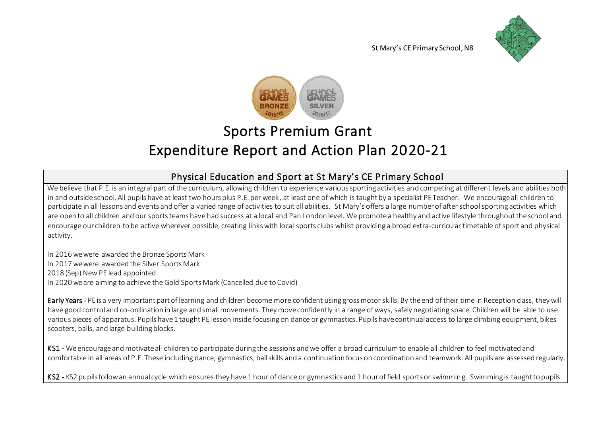



# Sports Premium Grant Expenditure Report and Action Plan 2020-21

### Physical Education and Sport at St Mary's CE Primary School

We believe that P.E. is an integral part of the curriculum, allowing children to experience various sporting activities and competing at different levels and abilities both in and outside school. All pupils have at least two hours plus P.E. per week, at least one of which is taught by a specialist PE Teacher. We encourage all children to participate in all lessons and events and offer a varied range of activities to suit all abilities. St Mary's offers a large number of after school sporting activities which are open to all children and our sports teams have had success at a local and Pan London level. We promote a healthy and active lifestyle throughout the school and encourage our children to be active wherever possible, creating links with local sports clubs whilst providing a broad extra-curricular timetable of sport and physical activity.

In 2016 we were awarded the Bronze Sports Mark In 2017 we were awarded the Silver Sports Mark 2018 (Sep) New PE lead appointed. In 2020 we are aiming to achieve the Gold Sports Mark (Cancelled due to Covid)

Early Years - PE is a very important part of learning and children become more confident using gross motor skills. By the end of their time in Reception class, they will have good control and co-ordination in large and small movements. They move confidently in a range of ways, safely negotiating space. Children will be able to use various pieces of apparatus. Pupils have 1 taught PE lesson inside focusing on dance or gymnastics. Pupils have continual access to large climbing equipment, bikes scooters, balls, and large building blocks.

KS1 - We encourage and motivate all children to participate during the sessions and we offer a broad curriculum to enable all children to feel motivated and comfortable in all areas of P.E. These including dance, gymnastics, ball skills and a continuation focus on coordination and teamwork. All pupils are assessed regularly.

KS2 - KS2 pupils follow an annual cycle which ensures they have 1 hour of dance or gymnastics and 1 hour of field sports or swimming. Swimming is taught to pupils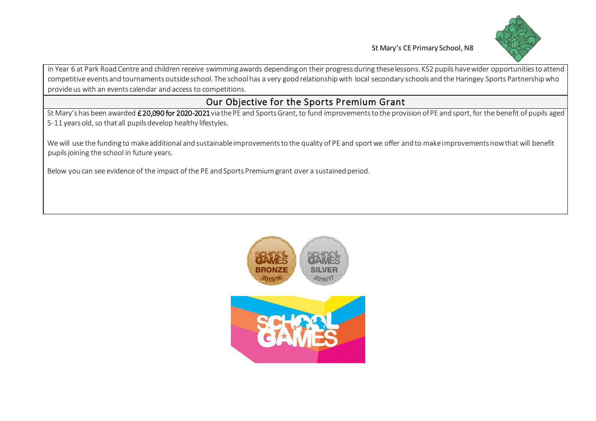

in Year 6 at Park Road Centre and children receive swimming awards depending on their progress during these lessons. KS2 pupils have wider opportunities to attend competitive events and tournaments outside school. The school has a very good relationship with local secondary schools and the Haringey Sports Partnership who provide us with an events calendar and access to competitions.

#### Our Objective for the Sports Premium Grant

St Mary's has been awarded £20,090 for 2020-2021 via the PE and Sports Grant, to fund improvements to the provision of PE and sport, for the benefit of pupils aged 5-11 years old, so that all pupils develop healthy lifestyles.

We will use the funding to make additional and sustainable improvements to the quality of PE and sport we offer and to make improvements now that will benefit pupils joining the school in future years.

Below you can see evidence of the impact of the PE and Sports Premium grant over a sustained period.



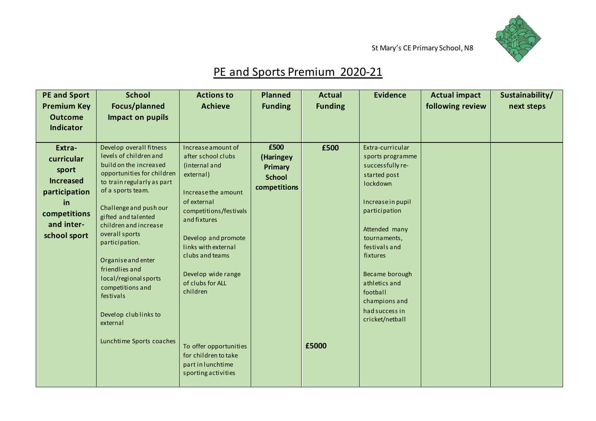

## PE and Sports Premium 2020-21

| <b>PE and Sport</b> | <b>School</b>                                            | <b>Actions to</b>                  | <b>Planned</b> | <b>Actual</b>  | <b>Evidence</b>                    | <b>Actual impact</b> | Sustainability/ |
|---------------------|----------------------------------------------------------|------------------------------------|----------------|----------------|------------------------------------|----------------------|-----------------|
| <b>Premium Key</b>  | Focus/planned                                            | <b>Achieve</b>                     | <b>Funding</b> | <b>Funding</b> |                                    | following review     | next steps      |
| <b>Outcome</b>      | Impact on pupils                                         |                                    |                |                |                                    |                      |                 |
| <b>Indicator</b>    |                                                          |                                    |                |                |                                    |                      |                 |
|                     |                                                          |                                    |                |                |                                    |                      |                 |
| Extra-              | Develop overall fitness                                  | Increase amount of                 | £500           | £500           | Extra-curricular                   |                      |                 |
| curricular          | levels of children and                                   | after school clubs                 | (Haringey      |                | sports programme                   |                      |                 |
| sport               | build on the increased                                   | (internal and                      | Primary        |                | successfully re-                   |                      |                 |
| <b>Increased</b>    | opportunities for children<br>to train regularly as part | external)                          | <b>School</b>  |                | started post                       |                      |                 |
|                     | of a sports team.                                        |                                    | competitions   |                | lockdown                           |                      |                 |
| participation       |                                                          | Increase the amount<br>of external |                |                |                                    |                      |                 |
| in                  | Challenge and push our                                   | competitions/festivals             |                |                | Increase in pupil<br>participation |                      |                 |
| competitions        | gifted and talented                                      | and fixtures                       |                |                |                                    |                      |                 |
| and inter-          | children and increase                                    |                                    |                |                | Attended many                      |                      |                 |
| school sport        | overall sports                                           | Develop and promote                |                |                | tournaments,                       |                      |                 |
|                     | participation.                                           | links with external                |                |                | festivals and                      |                      |                 |
|                     | Organise and enter                                       | clubs and teams                    |                |                | fixtures                           |                      |                 |
|                     | friendlies and                                           |                                    |                |                |                                    |                      |                 |
|                     | local/regional sports                                    | Develop wide range                 |                |                | Became borough                     |                      |                 |
|                     | competitions and                                         | of clubs for ALL                   |                |                | athletics and                      |                      |                 |
|                     | festivals                                                | children                           |                |                | football                           |                      |                 |
|                     |                                                          |                                    |                |                | champions and                      |                      |                 |
|                     | Develop club links to                                    |                                    |                |                | had success in<br>cricket/netball  |                      |                 |
|                     | external                                                 |                                    |                |                |                                    |                      |                 |
|                     |                                                          |                                    |                |                |                                    |                      |                 |
|                     | Lunchtime Sports coaches                                 | To offer opportunities             |                | £5000          |                                    |                      |                 |
|                     |                                                          | for children to take               |                |                |                                    |                      |                 |
|                     |                                                          | part in lunchtime                  |                |                |                                    |                      |                 |
|                     |                                                          | sporting activities                |                |                |                                    |                      |                 |
|                     |                                                          |                                    |                |                |                                    |                      |                 |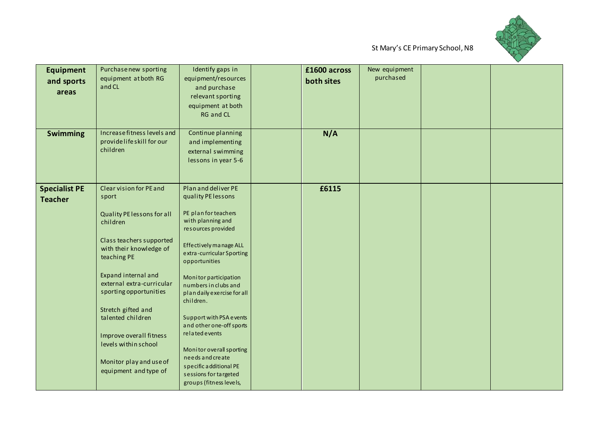

| <b>Equipment</b><br>and sports<br>areas | Purchase new sporting<br>equipment at both RG<br>and CL                                                                                                                                                                                                                                                                                                                          | Identify gaps in<br>equipment/resources<br>and purchase<br>relevant sporting<br>equipment at both<br><b>RG and CL</b>                                                                                                                                                                                                                                                                                                                                                                   | £1600 across<br>both sites | New equipment<br>purchased |  |
|-----------------------------------------|----------------------------------------------------------------------------------------------------------------------------------------------------------------------------------------------------------------------------------------------------------------------------------------------------------------------------------------------------------------------------------|-----------------------------------------------------------------------------------------------------------------------------------------------------------------------------------------------------------------------------------------------------------------------------------------------------------------------------------------------------------------------------------------------------------------------------------------------------------------------------------------|----------------------------|----------------------------|--|
| <b>Swimming</b>                         | Increase fitness levels and<br>providelife skill for our<br>children                                                                                                                                                                                                                                                                                                             | Continue planning<br>and implementing<br>external swimming<br>lessons in year 5-6                                                                                                                                                                                                                                                                                                                                                                                                       | N/A                        |                            |  |
| <b>Specialist PE</b><br><b>Teacher</b>  | Clear vision for PE and<br>sport<br>Quality PE lessons for all<br>children<br>Class teachers supported<br>with their knowledge of<br>teaching PE<br>Expand internal and<br>external extra-curricular<br>sporting opportunities<br>Stretch gifted and<br>talented children<br>Improve overall fitness<br>levels within school<br>Monitor play and use of<br>equipment and type of | Plan and deliver PE<br>quality PE lessons<br>PE plan for teachers<br>with planning and<br>resources provided<br>Effectively manage ALL<br>extra-curricular Sporting<br>opportunities<br>Monitor participation<br>numbers in clubs and<br>plandaily exercise for all<br>children.<br>Support with PSA events<br>and other one-off sports<br>related events<br>Monitor overall sporting<br>needs and create<br>specific additional PE<br>sessions for targeted<br>groups (fitness levels, | £6115                      |                            |  |